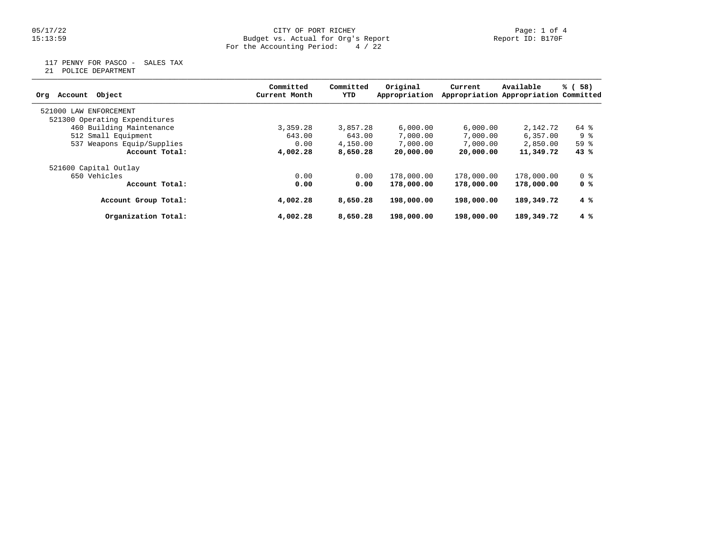## 05/17/22 CITY OF PORT RICHEY Page: 1 of 4 15:13:59 Budget vs. Actual for Org's Report Report ID: B170F For the Accounting Period: 4 / 22

117 PENNY FOR PASCO - SALES TAX

21 POLICE DEPARTMENT

| Object<br>Account<br>Org      | Committed<br>Current Month | Committed<br>YTD | Original<br>Appropriation | Current    | Available<br>Appropriation Appropriation Committed | % (58)         |
|-------------------------------|----------------------------|------------------|---------------------------|------------|----------------------------------------------------|----------------|
| 521000 LAW ENFORCEMENT        |                            |                  |                           |            |                                                    |                |
| 521300 Operating Expenditures |                            |                  |                           |            |                                                    |                |
| 460 Building Maintenance      | 3,359.28                   | 3,857.28         | 6.000.00                  | 6,000.00   | 2,142.72                                           | 64 %           |
| 512 Small Equipment           | 643.00                     | 643.00           | 7,000.00                  | 7,000.00   | 6,357.00                                           | 9 %            |
| 537 Weapons Equip/Supplies    | 0.00                       | 4,150.00         | 7,000.00                  | 7,000.00   | 2,850.00                                           | 59%            |
| Account Total:                | 4,002.28                   | 8,650.28         | 20,000.00                 | 20,000.00  | 11,349.72                                          | 43%            |
| 521600 Capital Outlay         |                            |                  |                           |            |                                                    |                |
| 650 Vehicles                  | 0.00                       | 0.00             | 178,000.00                | 178,000.00 | 178,000.00                                         | 0 <sub>8</sub> |
| Account Total:                | 0.00                       | 0.00             | 178,000.00                | 178,000.00 | 178,000.00                                         | 0 %            |
| Account Group Total:          | 4,002.28                   | 8,650.28         | 198,000.00                | 198,000.00 | 189,349.72                                         | 4%             |
| Organization Total:           | 4,002.28                   | 8,650.28         | 198,000.00                | 198,000.00 | 189,349.72                                         | 4%             |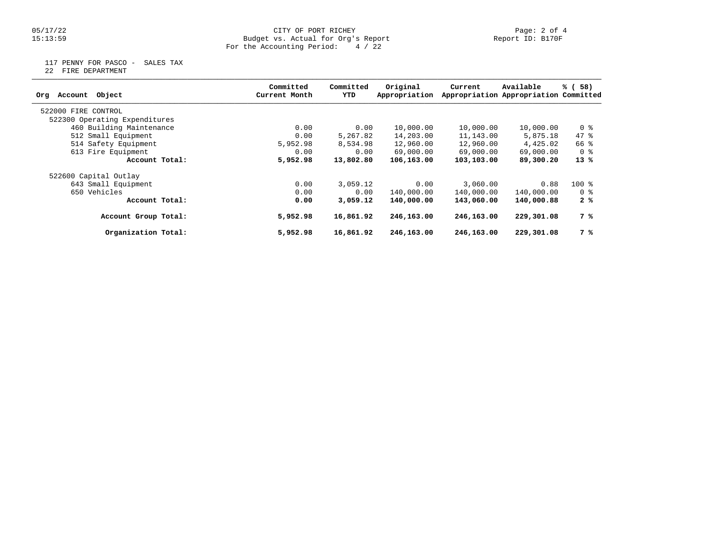## 05/17/22 CITY OF PORT RICHEY Page: 2 of 4 15:13:59 Budget vs. Actual for Org's Report Report ID: B170F For the Accounting Period: 4 / 22

117 PENNY FOR PASCO - SALES TAX

22 FIRE DEPARTMENT

| Object<br>Account<br>Org      | Committed<br>Current Month | Committed<br>YTD | Original<br>Appropriation | Current    | Available<br>Appropriation Appropriation Committed | % (58)         |
|-------------------------------|----------------------------|------------------|---------------------------|------------|----------------------------------------------------|----------------|
| 522000 FIRE CONTROL           |                            |                  |                           |            |                                                    |                |
| 522300 Operating Expenditures |                            |                  |                           |            |                                                    |                |
| 460 Building Maintenance      | 0.00                       | 0.00             | 10,000.00                 | 10,000.00  | 10,000.00                                          | 0 <sub>8</sub> |
| 512 Small Equipment           | 0.00                       | 5,267.82         | 14,203.00                 | 11,143.00  | 5,875.18                                           | 47.8           |
| 514 Safety Equipment          | 5,952.98                   | 8,534.98         | 12,960.00                 | 12,960.00  | 4,425.02                                           | 66 %           |
| 613 Fire Equipment            | 0.00                       | 0.00             | 69,000.00                 | 69,000.00  | 69,000.00                                          | 0 %            |
| Account Total:                | 5,952.98                   | 13,802.80        | 106,163.00                | 103,103.00 | 89,300.20                                          | $13*$          |
| 522600 Capital Outlay         |                            |                  |                           |            |                                                    |                |
| 643 Small Equipment           | 0.00                       | 3,059.12         | 0.00                      | 3,060.00   | 0.88                                               | $100*$         |
| 650 Vehicles                  | 0.00                       | 0.00             | 140,000.00                | 140,000.00 | 140,000.00                                         | 0 %            |
| Account Total:                | 0.00                       | 3,059.12         | 140,000.00                | 143,060.00 | 140,000.88                                         | 2%             |
| Account Group Total:          | 5,952.98                   | 16,861.92        | 246,163.00                | 246,163.00 | 229,301.08                                         | 7 %            |
| Organization Total:           | 5,952.98                   | 16,861.92        | 246,163.00                | 246,163.00 | 229,301.08                                         | 7 %            |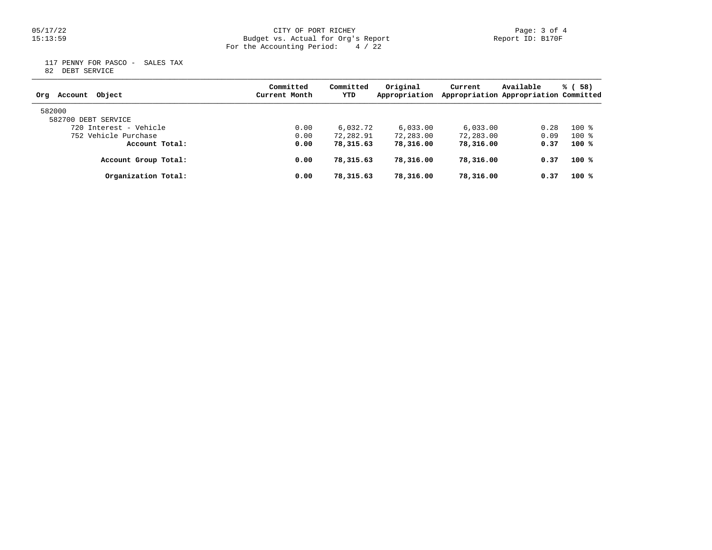## 05/17/22 CITY OF PORT RICHEY Page: 3 of 4 15:13:59 Budget vs. Actual for Org's Report Report ID: B170F For the Accounting Period: 4 / 22

 117 PENNY FOR PASCO - SALES TAX 82 DEBT SERVICE

| Object<br>Account<br>Org | Committed<br>Current Month | Committed<br>YTD | Original<br>Appropriation | Current   | Available<br>Appropriation Appropriation Committed | % (58) |
|--------------------------|----------------------------|------------------|---------------------------|-----------|----------------------------------------------------|--------|
| 582000                   |                            |                  |                           |           |                                                    |        |
| 582700 DEBT SERVICE      |                            |                  |                           |           |                                                    |        |
| 720 Interest - Vehicle   | 0.00                       | 6,032.72         | 6.033.00                  | 6.033.00  | 0.28                                               | $100*$ |
| 752 Vehicle Purchase     | 0.00                       | 72,282.91        | 72,283.00                 | 72,283.00 | 0.09                                               | $100*$ |
| Account Total:           | 0.00                       | 78,315.63        | 78,316.00                 | 78,316.00 | 0.37                                               | $100*$ |
| Account Group Total:     | 0.00                       | 78,315.63        | 78,316.00                 | 78,316.00 | 0.37                                               | $100*$ |
| Organization Total:      | 0.00                       | 78,315.63        | 78,316.00                 | 78,316.00 | 0.37                                               | $100*$ |